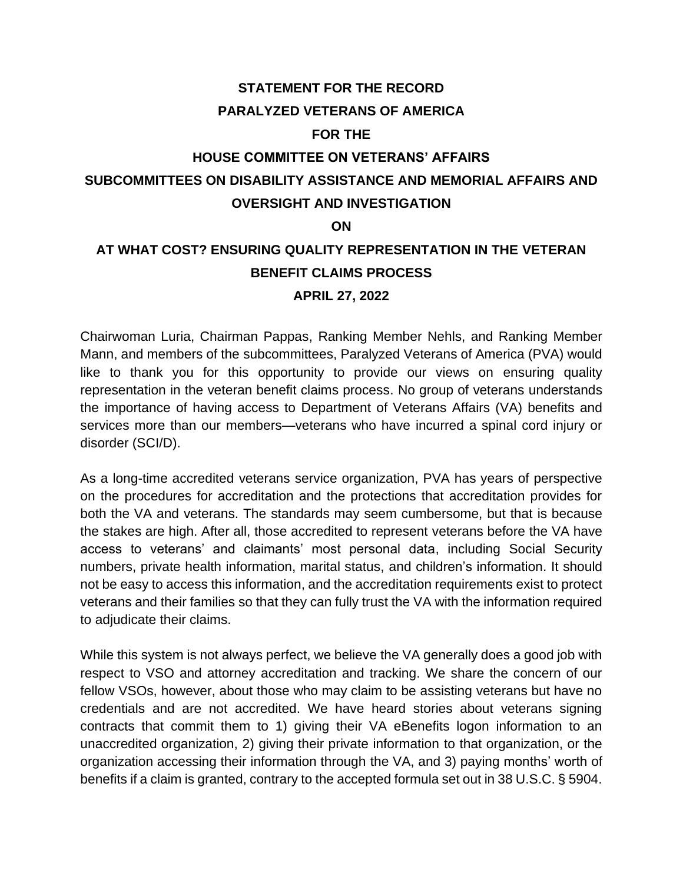## **STATEMENT FOR THE RECORD PARALYZED VETERANS OF AMERICA**

#### **FOR THE**

# **HOUSE COMMITTEE ON VETERANS' AFFAIRS SUBCOMMITTEES ON DISABILITY ASSISTANCE AND MEMORIAL AFFAIRS AND OVERSIGHT AND INVESTIGATION**

#### **ON**

# **AT WHAT COST? ENSURING QUALITY REPRESENTATION IN THE VETERAN BENEFIT CLAIMS PROCESS APRIL 27, 2022**

Chairwoman Luria, Chairman Pappas, Ranking Member Nehls, and Ranking Member Mann, and members of the subcommittees, Paralyzed Veterans of America (PVA) would like to thank you for this opportunity to provide our views on ensuring quality representation in the veteran benefit claims process. No group of veterans understands the importance of having access to Department of Veterans Affairs (VA) benefits and services more than our members—veterans who have incurred a spinal cord injury or disorder (SCI/D).

As a long-time accredited veterans service organization, PVA has years of perspective on the procedures for accreditation and the protections that accreditation provides for both the VA and veterans. The standards may seem cumbersome, but that is because the stakes are high. After all, those accredited to represent veterans before the VA have access to veterans' and claimants' most personal data, including Social Security numbers, private health information, marital status, and children's information. It should not be easy to access this information, and the accreditation requirements exist to protect veterans and their families so that they can fully trust the VA with the information required to adjudicate their claims.

While this system is not always perfect, we believe the VA generally does a good job with respect to VSO and attorney accreditation and tracking. We share the concern of our fellow VSOs, however, about those who may claim to be assisting veterans but have no credentials and are not accredited. We have heard stories about veterans signing contracts that commit them to 1) giving their VA eBenefits logon information to an unaccredited organization, 2) giving their private information to that organization, or the organization accessing their information through the VA, and 3) paying months' worth of benefits if a claim is granted, contrary to the accepted formula set out in 38 U.S.C. § 5904.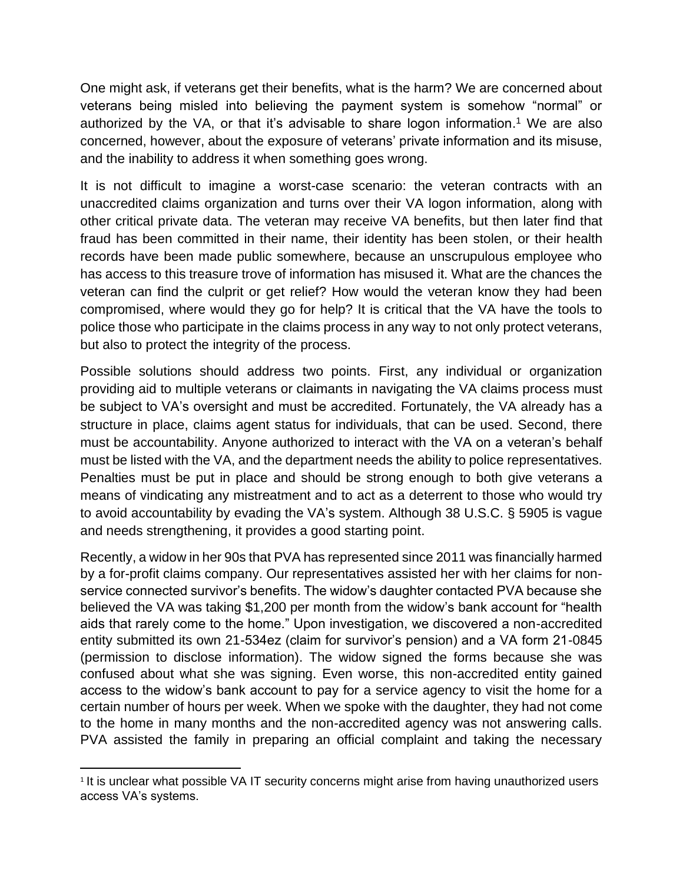One might ask, if veterans get their benefits, what is the harm? We are concerned about veterans being misled into believing the payment system is somehow "normal" or authorized by the VA, or that it's advisable to share logon information.<sup>1</sup> We are also concerned, however, about the exposure of veterans' private information and its misuse, and the inability to address it when something goes wrong.

It is not difficult to imagine a worst-case scenario: the veteran contracts with an unaccredited claims organization and turns over their VA logon information, along with other critical private data. The veteran may receive VA benefits, but then later find that fraud has been committed in their name, their identity has been stolen, or their health records have been made public somewhere, because an unscrupulous employee who has access to this treasure trove of information has misused it. What are the chances the veteran can find the culprit or get relief? How would the veteran know they had been compromised, where would they go for help? It is critical that the VA have the tools to police those who participate in the claims process in any way to not only protect veterans, but also to protect the integrity of the process.

Possible solutions should address two points. First, any individual or organization providing aid to multiple veterans or claimants in navigating the VA claims process must be subject to VA's oversight and must be accredited. Fortunately, the VA already has a structure in place, claims agent status for individuals, that can be used. Second, there must be accountability. Anyone authorized to interact with the VA on a veteran's behalf must be listed with the VA, and the department needs the ability to police representatives. Penalties must be put in place and should be strong enough to both give veterans a means of vindicating any mistreatment and to act as a deterrent to those who would try to avoid accountability by evading the VA's system. Although 38 U.S.C. § 5905 is vague and needs strengthening, it provides a good starting point.

Recently, a widow in her 90s that PVA has represented since 2011 was financially harmed by a for-profit claims company. Our representatives assisted her with her claims for nonservice connected survivor's benefits. The widow's daughter contacted PVA because she believed the VA was taking \$1,200 per month from the widow's bank account for "health aids that rarely come to the home." Upon investigation, we discovered a non-accredited entity submitted its own 21-534ez (claim for survivor's pension) and a VA form 21-0845 (permission to disclose information). The widow signed the forms because she was confused about what she was signing. Even worse, this non-accredited entity gained access to the widow's bank account to pay for a service agency to visit the home for a certain number of hours per week. When we spoke with the daughter, they had not come to the home in many months and the non-accredited agency was not answering calls. PVA assisted the family in preparing an official complaint and taking the necessary

<sup>&</sup>lt;sup>1</sup> It is unclear what possible VA IT security concerns might arise from having unauthorized users access VA's systems.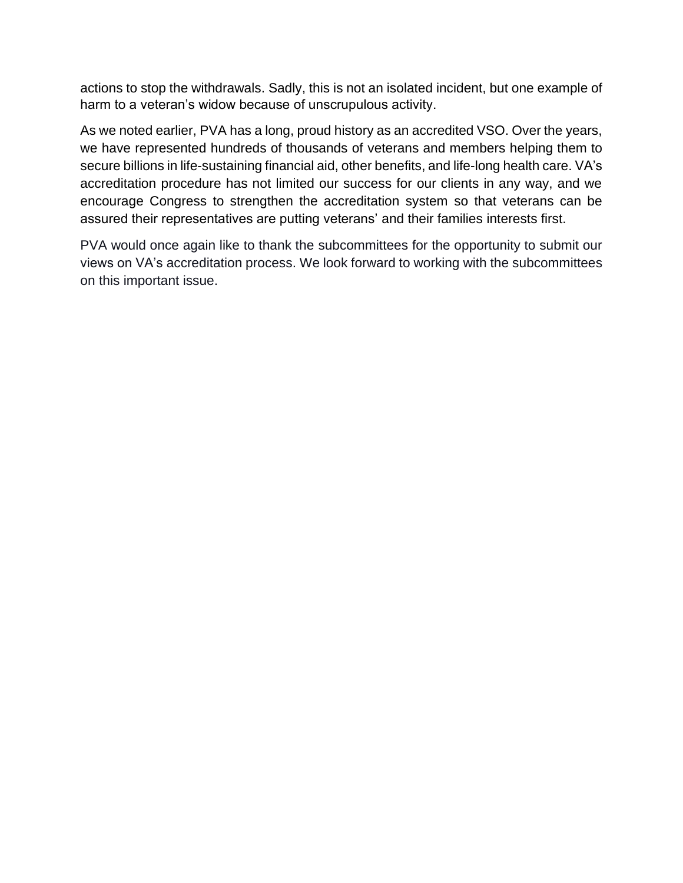actions to stop the withdrawals. Sadly, this is not an isolated incident, but one example of harm to a veteran's widow because of unscrupulous activity.

As we noted earlier, PVA has a long, proud history as an accredited VSO. Over the years, we have represented hundreds of thousands of veterans and members helping them to secure billions in life-sustaining financial aid, other benefits, and life-long health care. VA's accreditation procedure has not limited our success for our clients in any way, and we encourage Congress to strengthen the accreditation system so that veterans can be assured their representatives are putting veterans' and their families interests first.

PVA would once again like to thank the subcommittees for the opportunity to submit our views on VA's accreditation process. We look forward to working with the subcommittees on this important issue.